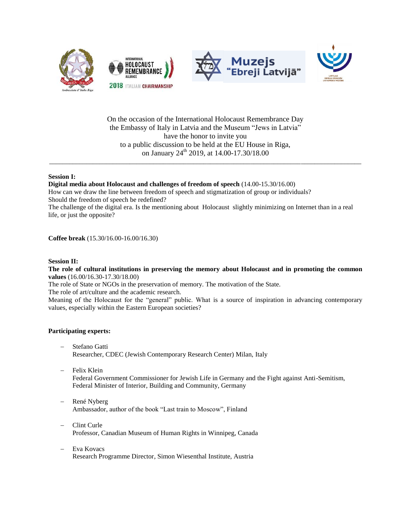







On the occasion of the International Holocaust Remembrance Day the Embassy of Italy in Latvia and the Museum "Jews in Latvia" have the honor to invite you to a public discussion to be held at the EU House in Riga, on January  $24^{\text{th}}$  2019, at 14.00-17.30/18.00

\_\_\_\_\_\_\_\_\_\_\_\_\_\_\_\_\_\_\_\_\_\_\_\_\_\_\_\_\_\_\_\_\_\_\_\_\_\_\_\_\_\_\_\_\_\_\_\_\_\_\_\_\_\_\_\_\_\_\_\_\_\_\_\_\_\_\_\_\_\_\_\_\_\_\_\_\_\_\_\_\_\_\_\_\_\_\_\_\_\_\_\_\_

## **Session I:**

**Digital media about Holocaust and challenges of freedom of speech** (14.00-15.30/16.00) How can we draw the line between freedom of speech and stigmatization of group or individuals? Should the freedom of speech be redefined?

The challenge of the digital era. Is the mentioning about Holocaust slightly minimizing on Internet than in a real life, or just the opposite?

**Coffee break** (15.30/16.00-16.00/16.30)

## **Session II:**

**The role of cultural institutions in preserving the memory about Holocaust and in promoting the common values** (16.00/16.30-17.30/18.00)

The role of State or NGOs in the preservation of memory. The motivation of the State.

The role of art/culture and the academic research.

Meaning of the Holocaust for the "general" public. What is a source of inspiration in advancing contemporary values, especially within the Eastern European societies?

## **Participating experts:**

- Stefano Gatti Researcher, CDEC (Jewish Contemporary Research Center) Milan, Italy
- Felix Klein Federal Government Commissioner for Jewish Life in Germany and the Fight against Anti-Semitism, Federal Minister of Interior, Building and Community, Germany
- René Nyberg Ambassador, author of the book "Last train to Moscow", Finland
- Clint Curle Professor, Canadian Museum of Human Rights in Winnipeg, Canada
- Eva Kovacs Research Programme Director, Simon Wiesenthal Institute, Austria